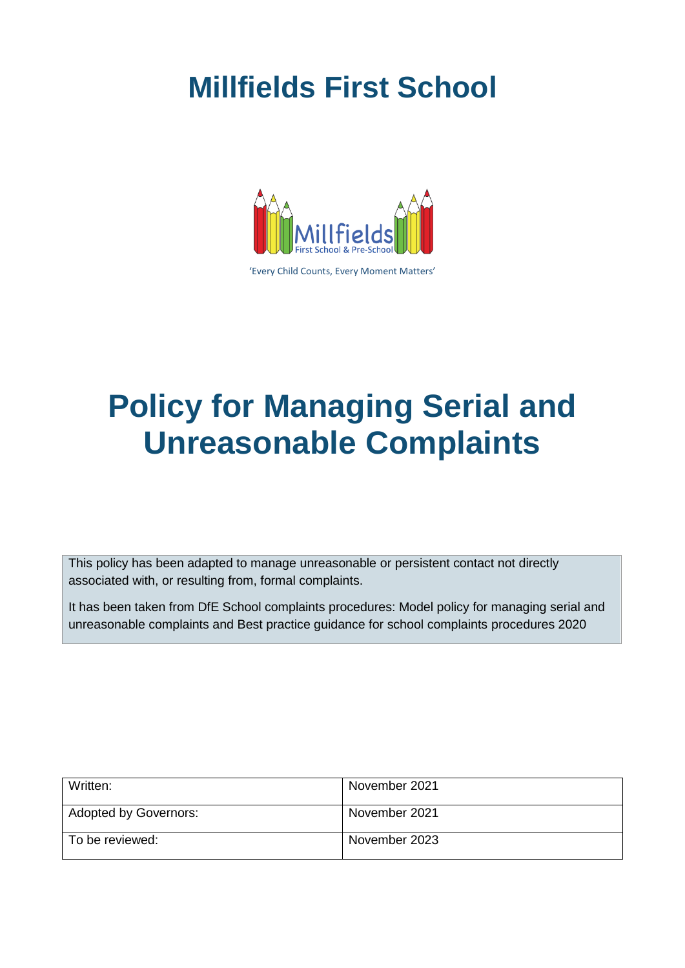# **Millfields First School**



'Every Child Counts, Every Moment Matters'

# **Policy for Managing Serial and Unreasonable Complaints**

This policy has been adapted to manage unreasonable or persistent contact not directly associated with, or resulting from, formal complaints.

It has been taken from DfE School complaints procedures: Model policy for managing serial and unreasonable complaints and Best practice guidance for school complaints procedures 2020

| Written:              | November 2021 |
|-----------------------|---------------|
| Adopted by Governors: | November 2021 |
| To be reviewed:       | November 2023 |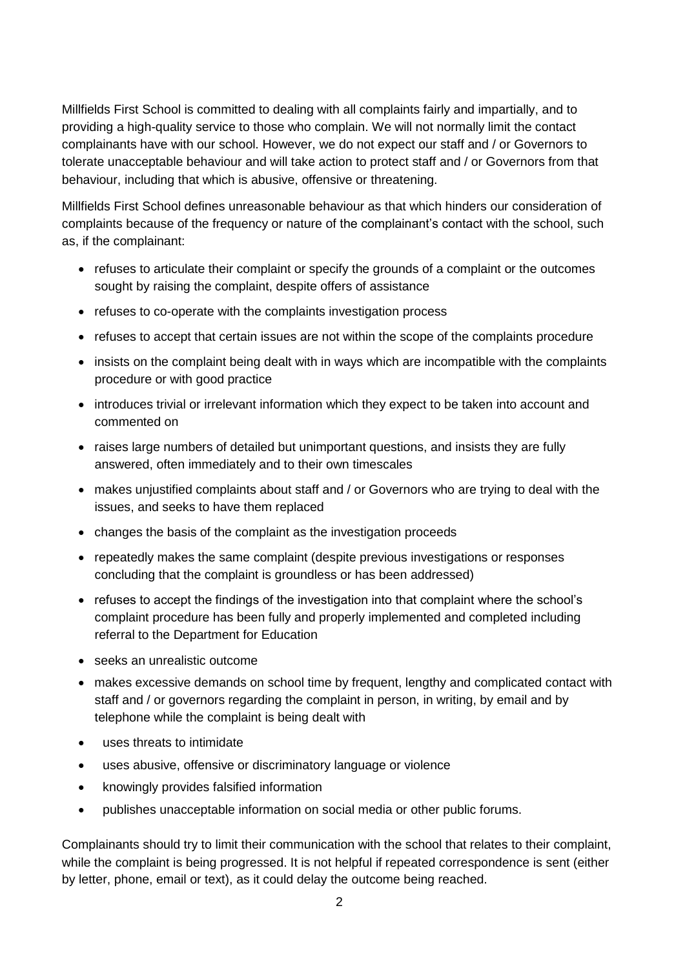Millfields First School is committed to dealing with all complaints fairly and impartially, and to providing a high-quality service to those who complain. We will not normally limit the contact complainants have with our school. However, we do not expect our staff and / or Governors to tolerate unacceptable behaviour and will take action to protect staff and / or Governors from that behaviour, including that which is abusive, offensive or threatening.

Millfields First School defines unreasonable behaviour as that which hinders our consideration of complaints because of the frequency or nature of the complainant's contact with the school, such as, if the complainant:

- refuses to articulate their complaint or specify the grounds of a complaint or the outcomes sought by raising the complaint, despite offers of assistance
- refuses to co-operate with the complaints investigation process
- refuses to accept that certain issues are not within the scope of the complaints procedure
- insists on the complaint being dealt with in ways which are incompatible with the complaints procedure or with good practice
- introduces trivial or irrelevant information which they expect to be taken into account and commented on
- raises large numbers of detailed but unimportant questions, and insists they are fully answered, often immediately and to their own timescales
- makes unjustified complaints about staff and / or Governors who are trying to deal with the issues, and seeks to have them replaced
- changes the basis of the complaint as the investigation proceeds
- repeatedly makes the same complaint (despite previous investigations or responses concluding that the complaint is groundless or has been addressed)
- refuses to accept the findings of the investigation into that complaint where the school's complaint procedure has been fully and properly implemented and completed including referral to the Department for Education
- seeks an unrealistic outcome
- makes excessive demands on school time by frequent, lengthy and complicated contact with staff and / or governors regarding the complaint in person, in writing, by email and by telephone while the complaint is being dealt with
- uses threats to intimidate
- uses abusive, offensive or discriminatory language or violence
- knowingly provides falsified information
- publishes unacceptable information on social media or other public forums.

Complainants should try to limit their communication with the school that relates to their complaint, while the complaint is being progressed. It is not helpful if repeated correspondence is sent (either by letter, phone, email or text), as it could delay the outcome being reached.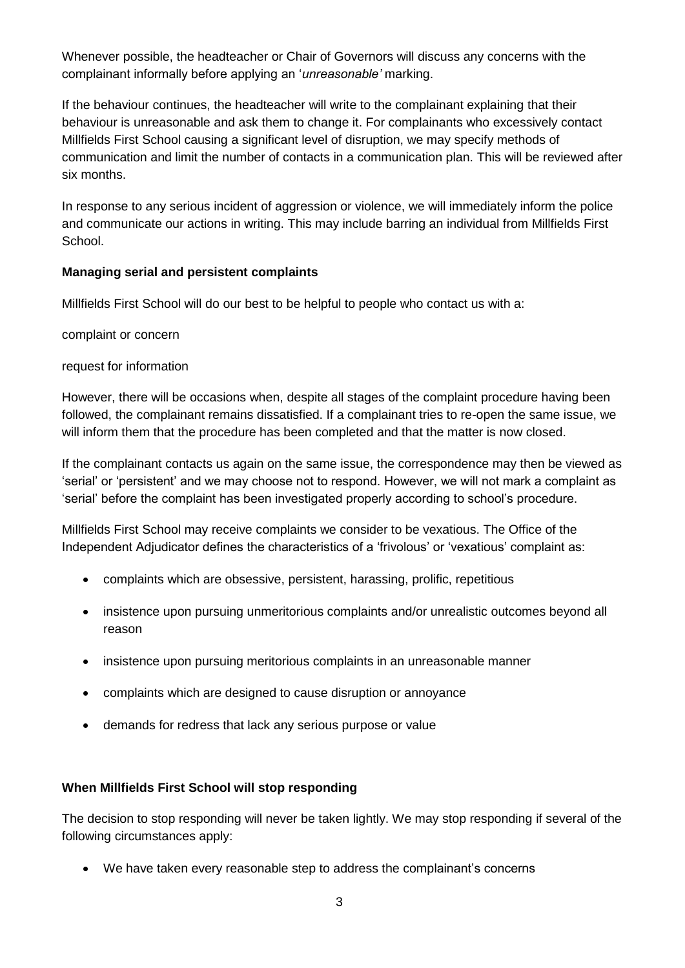Whenever possible, the headteacher or Chair of Governors will discuss any concerns with the complainant informally before applying an '*unreasonable'* marking.

If the behaviour continues, the headteacher will write to the complainant explaining that their behaviour is unreasonable and ask them to change it. For complainants who excessively contact Millfields First School causing a significant level of disruption, we may specify methods of communication and limit the number of contacts in a communication plan. This will be reviewed after six months.

In response to any serious incident of aggression or violence, we will immediately inform the police and communicate our actions in writing. This may include barring an individual from Millfields First School.

## **Managing serial and persistent complaints**

Millfields First School will do our best to be helpful to people who contact us with a:

complaint or concern

#### request for information

However, there will be occasions when, despite all stages of the complaint procedure having been followed, the complainant remains dissatisfied. If a complainant tries to re-open the same issue, we will inform them that the procedure has been completed and that the matter is now closed.

If the complainant contacts us again on the same issue, the correspondence may then be viewed as 'serial' or 'persistent' and we may choose not to respond. However, we will not mark a complaint as 'serial' before the complaint has been investigated properly according to school's procedure.

Millfields First School may receive complaints we consider to be vexatious. The Office of the Independent Adjudicator defines the characteristics of a 'frivolous' or 'vexatious' complaint as:

- complaints which are obsessive, persistent, harassing, prolific, repetitious
- insistence upon pursuing unmeritorious complaints and/or unrealistic outcomes beyond all reason
- insistence upon pursuing meritorious complaints in an unreasonable manner
- complaints which are designed to cause disruption or annoyance
- demands for redress that lack any serious purpose or value

#### **When Millfields First School will stop responding**

The decision to stop responding will never be taken lightly. We may stop responding if several of the following circumstances apply:

• We have taken every reasonable step to address the complainant's concerns